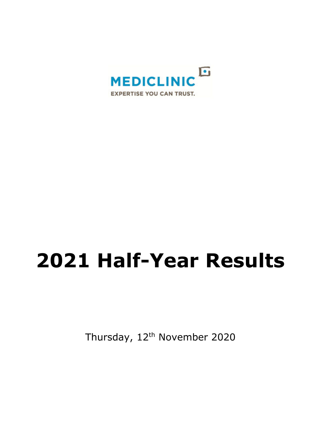

# **2021 Half-Year Results**

Thursday, 12<sup>th</sup> November 2020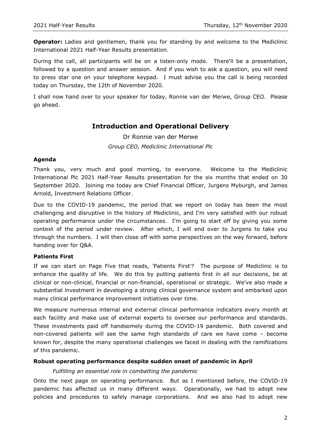**Operator:** Ladies and gentlemen, thank you for standing by and welcome to the Mediclinic International 2021 Half-Year Results presentation.

During the call, all participants will be on a listen-only mode. There'll be a presentation, followed by a question and answer session. And if you wish to ask a question, you will need to press star one on your telephone keypad. I must advise you the call is being recorded today on Thursday, the 12th of November 2020.

I shall now hand over to your speaker for today, Ronnie van der Merwe, Group CEO. Please go ahead.

# **Introduction and Operational Delivery**

Dr Ronnie van der Merwe *Group CEO, Mediclinic International Plc*

#### **Agenda**

Thank you, very much and good morning, to everyone. Welcome to the Mediclinic International Plc 2021 Half-Year Results presentation for the six months that ended on 30 September 2020. Joining me today are Chief Financial Officer, Jurgens Myburgh, and James Arnold, Investment Relations Officer.

Due to the COVID-19 pandemic, the period that we report on today has been the most challenging and disruptive in the history of Mediclinic, and I'm very satisfied with our robust operating performance under the circumstances. I'm going to start off by giving you some context of the period under review. After which, I will end over to Jurgens to take you through the numbers. I will then close off with some perspectives on the way forward, before handing over for Q&A.

## **Patients First**

If we can start on Page Five that reads, 'Patients First'? The purpose of Mediclinic is to enhance the quality of life. We do this by putting patients first in all our decisions, be at clinical or non-clinical, financial or non-financial, operational or strategic. We've also made a substantial investment in developing a strong clinical governance system and embarked upon many clinical performance improvement initiatives over time.

We measure numerous internal and external clinical performance indicators every month at each facility and make use of external experts to oversee our performance and standards. These investments paid off handsomely during the COVID-19 pandemic. Both covered and non-covered patients will see the same high standards of care we have come – become known for, despite the many operational challenges we faced in dealing with the ramifications of this pandemic.

#### **Robust operating performance despite sudden onset of pandemic in April**

#### *Fulfilling an essential role in combatting the pandemic*

Onto the next page on operating performance. But as I mentioned before, the COVID-19 pandemic has affected us in many different ways. Operationally, we had to adopt new policies and procedures to safely manage corporations. And we also had to adopt new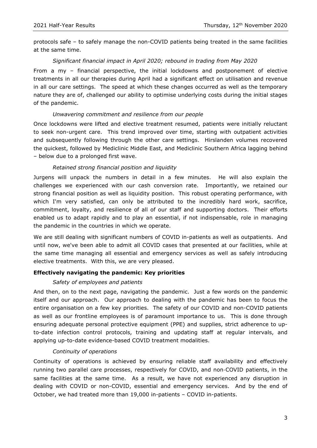protocols safe – to safely manage the non-COVID patients being treated in the same facilities at the same time.

## *Significant financial impact in April 2020; rebound in trading from May 2020*

From a my – financial perspective, the initial lockdowns and postponement of elective treatments in all our therapies during April had a significant effect on utilisation and revenue in all our care settings. The speed at which these changes occurred as well as the temporary nature they are of, challenged our ability to optimise underlying costs during the initial stages of the pandemic.

## *Unwavering commitment and resilience from our people*

Once lockdowns were lifted and elective treatment resumed, patients were initially reluctant to seek non-urgent care. This trend improved over time, starting with outpatient activities and subsequently following through the other care settings. Hirslanden volumes recovered the quickest, followed by Mediclinic Middle East, and Mediclinic Southern Africa lagging behind – below due to a prolonged first wave.

## *Retained strong financial position and liquidity*

Jurgens will unpack the numbers in detail in a few minutes. He will also explain the challenges we experienced with our cash conversion rate. Importantly, we retained our strong financial position as well as liquidity position. This robust operating performance, with which I'm very satisfied, can only be attributed to the incredibly hard work, sacrifice, commitment, loyalty, and resilience of all of our staff and supporting doctors. Their efforts enabled us to adapt rapidly and to play an essential, if not indispensable, role in managing the pandemic in the countries in which we operate.

We are still dealing with significant numbers of COVID in-patients as well as outpatients. And until now, we've been able to admit all COVID cases that presented at our facilities, while at the same time managing all essential and emergency services as well as safely introducing elective treatments. With this, we are very pleased.

## **Effectively navigating the pandemic: Key priorities**

## *Safety of employees and patients*

And then, on to the next page, navigating the pandemic. Just a few words on the pandemic itself and our approach. Our approach to dealing with the pandemic has been to focus the entire organisation on a few key priorities. The safety of our COVID and non-COVID patients as well as our frontline employees is of paramount importance to us. This is done through ensuring adequate personal protective equipment (PPE) and supplies, strict adherence to upto-date infection control protocols, training and updating staff at regular intervals, and applying up-to-date evidence-based COVID treatment modalities.

## *Continuity of operations*

Continuity of operations is achieved by ensuring reliable staff availability and effectively running two parallel care processes, respectively for COVID, and non-COVID patients, in the same facilities at the same time. As a result, we have not experienced any disruption in dealing with COVID or non-COVID, essential and emergency services. And by the end of October, we had treated more than 19,000 in-patients – COVID in-patients.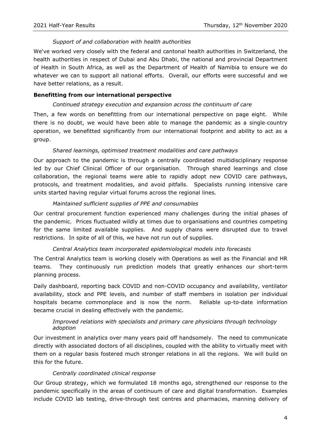#### *Support of and collaboration with health authorities*

We've worked very closely with the federal and cantonal health authorities in Switzerland, the health authorities in respect of Dubai and Abu Dhabi, the national and provincial Department of Health in South Africa, as well as the Department of Health of Namibia to ensure we do whatever we can to support all national efforts. Overall, our efforts were successful and we have better relations, as a result.

#### **Benefitting from our international perspective**

#### *Continued strategy execution and expansion across the continuum of care*

Then, a few words on benefitting from our international perspective on page eight. While there is no doubt, we would have been able to manage the pandemic as a single-country operation, we benefitted significantly from our international footprint and ability to act as a group.

#### *Shared learnings, optimised treatment modalities and care pathways*

Our approach to the pandemic is through a centrally coordinated multidisciplinary response led by our Chief Clinical Officer of our organisation. Through shared learnings and close collaboration, the regional teams were able to rapidly adopt new COVID care pathways, protocols, and treatment modalities, and avoid pitfalls. Specialists running intensive care units started having regular virtual forums across the regional lines.

#### *Maintained sufficient supplies of PPE and consumables*

Our central procurement function experienced many challenges during the initial phases of the pandemic. Prices fluctuated wildly at times due to organisations and countries competing for the same limited available supplies. And supply chains were disrupted due to travel restrictions. In spite of all of this, we have not run out of supplies.

## *Central Analytics team incorporated epidemiological models into forecasts*

The Central Analytics team is working closely with Operations as well as the Financial and HR teams. They continuously run prediction models that greatly enhances our short-term planning process.

Daily dashboard, reporting back COVID and non-COVID occupancy and availability, ventilator availability, stock and PPE levels, and number of staff members in isolation per individual hospitals became commonplace and is now the norm. Reliable up-to-date information became crucial in dealing effectively with the pandemic.

## *Improved relations with specialists and primary care physicians through technology adoption*

Our investment in analytics over many years paid off handsomely. The need to communicate directly with associated doctors of all disciplines, coupled with the ability to virtually meet with them on a regular basis fostered much stronger relations in all the regions. We will build on this for the future.

#### *Centrally coordinated clinical response*

Our Group strategy, which we formulated 18 months ago, strengthened our response to the pandemic specifically in the areas of continuum of care and digital transformation. Examples include COVID lab testing, drive-through test centres and pharmacies, manning delivery of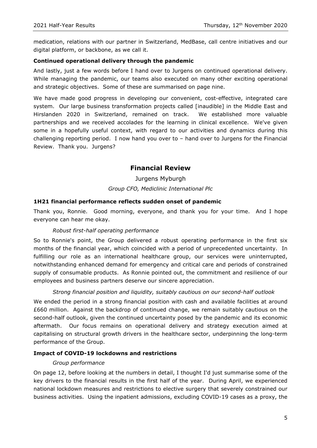medication, relations with our partner in Switzerland, MedBase, call centre initiatives and our digital platform, or backbone, as we call it.

## **Continued operational delivery through the pandemic**

And lastly, just a few words before I hand over to Jurgens on continued operational delivery. While managing the pandemic, our teams also executed on many other exciting operational and strategic objectives. Some of these are summarised on page nine.

We have made good progress in developing our convenient, cost-effective, integrated care system. Our large business transformation projects called [inaudible] in the Middle East and Hirslanden 2020 in Switzerland, remained on track. We established more valuable partnerships and we received accolades for the learning in clinical excellence. We've given some in a hopefully useful context, with regard to our activities and dynamics during this challenging reporting period. I now hand you over to – hand over to Jurgens for the Financial Review. Thank you. Jurgens?

# **Financial Review**

Jurgens Myburgh *Group CFO, Mediclinic International Plc*

#### **1H21 financial performance reflects sudden onset of pandemic**

Thank you, Ronnie. Good morning, everyone, and thank you for your time. And I hope everyone can hear me okay.

#### *Robust first-half operating performance*

So to Ronnie's point, the Group delivered a robust operating performance in the first six months of the financial year, which coincided with a period of unprecedented uncertainty. In fulfilling our role as an international healthcare group, our services were uninterrupted, notwithstanding enhanced demand for emergency and critical care and periods of constrained supply of consumable products. As Ronnie pointed out, the commitment and resilience of our employees and business partners deserve our sincere appreciation.

## *Strong financial position and liquidity, suitably cautious on our second-half outlook*

We ended the period in a strong financial position with cash and available facilities at around £660 million. Against the backdrop of continued change, we remain suitably cautious on the second-half outlook, given the continued uncertainty posed by the pandemic and its economic aftermath. Our focus remains on operational delivery and strategy execution aimed at capitalising on structural growth drivers in the healthcare sector, underpinning the long-term performance of the Group.

#### **Impact of COVID-19 lockdowns and restrictions**

#### *Group performance*

On page 12, before looking at the numbers in detail, I thought I'd just summarise some of the key drivers to the financial results in the first half of the year. During April, we experienced national lockdown measures and restrictions to elective surgery that severely constrained our business activities. Using the inpatient admissions, excluding COVID-19 cases as a proxy, the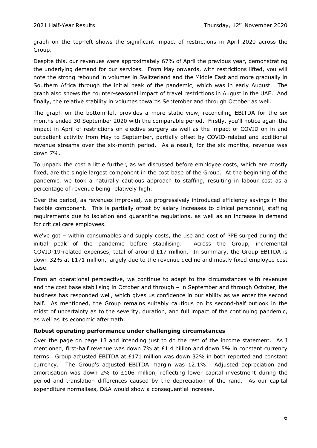graph on the top-left shows the significant impact of restrictions in April 2020 across the Group.

Despite this, our revenues were approximately 67% of April the previous year, demonstrating the underlying demand for our services. From May onwards, with restrictions lifted, you will note the strong rebound in volumes in Switzerland and the Middle East and more gradually in Southern Africa through the initial peak of the pandemic, which was in early August. The graph also shows the counter-seasonal impact of travel restrictions in August in the UAE. And finally, the relative stability in volumes towards September and through October as well.

The graph on the bottom-left provides a more static view, reconciling EBITDA for the six months ended 30 September 2020 with the comparable period. Firstly, you'll notice again the impact in April of restrictions on elective surgery as well as the impact of COVID on in and outpatient activity from May to September, partially offset by COVID-related and additional revenue streams over the six-month period. As a result, for the six months, revenue was down 7%.

To unpack the cost a little further, as we discussed before employee costs, which are mostly fixed, are the single largest component in the cost base of the Group. At the beginning of the pandemic, we took a naturally cautious approach to staffing, resulting in labour cost as a percentage of revenue being relatively high.

Over the period, as revenues improved, we progressively introduced efficiency savings in the flexible component. This is partially offset by salary increases to clinical personnel, staffing requirements due to isolation and quarantine regulations, as well as an increase in demand for critical care employees.

We've got – within consumables and supply costs, the use and cost of PPE surged during the initial peak of the pandemic before stabilising. Across the Group, incremental COVID-19-related expenses, total of around  $£17$  million. In summary, the Group EBITDA is down 32% at £171 million, largely due to the revenue decline and mostly fixed employee cost base.

From an operational perspective, we continue to adapt to the circumstances with revenues and the cost base stabilising in October and through – in September and through October, the business has responded well, which gives us confidence in our ability as we enter the second half. As mentioned, the Group remains suitably cautious on its second-half outlook in the midst of uncertainty as to the severity, duration, and full impact of the continuing pandemic, as well as its economic aftermath.

## **Robust operating performance under challenging circumstances**

Over the page on page 13 and intending just to do the rest of the income statement. As I mentioned, first-half revenue was down 7% at £1.4 billion and down 5% in constant currency terms. Group adjusted EBITDA at £171 million was down 32% in both reported and constant currency. The Group's adjusted EBITDA margin was 12.1%. Adjusted depreciation and amortisation was down 2% to £106 million, reflecting lower capital investment during the period and translation differences caused by the depreciation of the rand. As our capital expenditure normalises, D&A would show a consequential increase.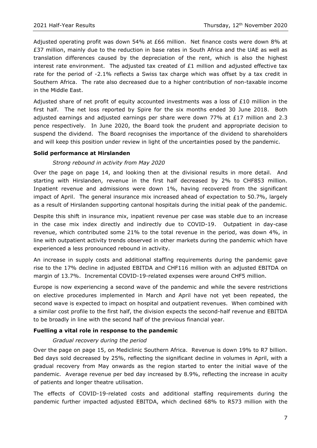Adjusted operating profit was down 54% at £66 million. Net finance costs were down 8% at £37 million, mainly due to the reduction in base rates in South Africa and the UAE as well as translation differences caused by the depreciation of the rent, which is also the highest interest rate environment. The adjusted tax created of  $£1$  million and adjusted effective tax rate for the period of -2.1% reflects a Swiss tax charge which was offset by a tax credit in Southern Africa. The rate also decreased due to a higher contribution of non-taxable income in the Middle East.

Adjusted share of net profit of equity accounted investments was a loss of £10 million in the first half. The net loss reported by Spire for the six months ended 30 June 2018. Both adjusted earnings and adjusted earnings per share were down 77% at £17 million and 2.3 pence respectively. In June 2020, the Board took the prudent and appropriate decision to suspend the dividend. The Board recognises the importance of the dividend to shareholders and will keep this position under review in light of the uncertainties posed by the pandemic.

#### **Solid performance at Hirslanden**

#### *Strong rebound in activity from May 2020*

Over the page on page 14, and looking then at the divisional results in more detail. And starting with Hirslanden, revenue in the first half decreased by 2% to CHF853 million. Inpatient revenue and admissions were down 1%, having recovered from the significant impact of April. The general insurance mix increased ahead of expectation to 50.7%, largely as a result of Hirslanden supporting cantonal hospitals during the initial peak of the pandemic.

Despite this shift in insurance mix, inpatient revenue per case was stable due to an increase in the case mix index directly and indirectly due to COVID-19. Outpatient in day-case revenue, which contributed some 21% to the total revenue in the period, was down 4%, in line with outpatient activity trends observed in other markets during the pandemic which have experienced a less pronounced rebound in activity.

An increase in supply costs and additional staffing requirements during the pandemic gave rise to the 17% decline in adjusted EBITDA and CHF116 million with an adjusted EBITDA on margin of 13.7%. Incremental COVID-19-related expenses were around CHF5 million.

Europe is now experiencing a second wave of the pandemic and while the severe restrictions on elective procedures implemented in March and April have not yet been repeated, the second wave is expected to impact on hospital and outpatient revenues. When combined with a similar cost profile to the first half, the division expects the second-half revenue and EBITDA to be broadly in line with the second half of the previous financial year.

#### **Fuelling a vital role in response to the pandemic**

#### *Gradual recovery during the period*

Over the page on page 15, on Mediclinic Southern Africa. Revenue is down 19% to R7 billion. Bed days sold decreased by 25%, reflecting the significant decline in volumes in April, with a gradual recovery from May onwards as the region started to enter the initial wave of the pandemic. Average revenue per bed day increased by 8.9%, reflecting the increase in acuity of patients and longer theatre utilisation.

The effects of COVID-19-related costs and additional staffing requirements during the pandemic further impacted adjusted EBITDA, which declined 68% to R573 million with the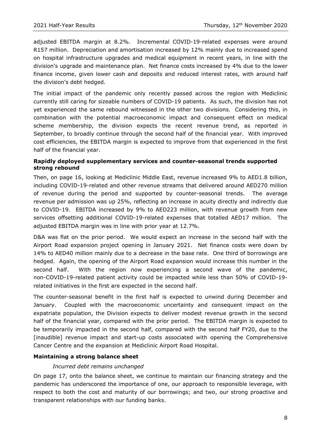adjusted EBITDA margin at 8.2%. Incremental COVID-19-related expenses were around R157 million. Depreciation and amortisation increased by 12% mainly due to increased spend on hospital infrastructure upgrades and medical equipment in recent years, in line with the division's upgrade and maintenance plan. Net finance costs increased by 4% due to the lower finance income, given lower cash and deposits and reduced interest rates, with around half the division's debt hedged.

The initial impact of the pandemic only recently passed across the region with Mediclinic currently still caring for sizeable numbers of COVID-19 patients. As such, the division has not yet experienced the same rebound witnessed in the other two divisions. Considering this, in combination with the potential macroeconomic impact and consequent effect on medical scheme membership, the division expects the recent revenue trend, as reported in September, to broadly continue through the second half of the financial year. With improved cost efficiencies, the EBITDA margin is expected to improve from that experienced in the first half of the financial year.

#### **Rapidly deployed supplementary services and counter-seasonal trends supported strong rebound**

Then, on page 16, looking at Mediclinic Middle East, revenue increased 9% to AED1.8 billion, including COVID-19-related and other revenue streams that delivered around AED270 million of revenue during the period and supported by counter-seasonal trends. The average revenue per admission was up 25%, reflecting an increase in acuity directly and indirectly due to COVID-19. EBITDA increased by 9% to AED223 million, with revenue growth from new services offsetting additional COVID-19-related expenses that totalled AED17 million. The adjusted EBITDA margin was in line with prior year at 12.7%.

D&A was flat on the prior period. We would expect an increase in the second half with the Airport Road expansion project opening in January 2021. Net finance costs were down by 14% to AED40 million mainly due to a decrease in the base rate. One third of borrowings are hedged. Again, the opening of the Airport Road expansion would increase this number in the second half. With the region now experiencing a second wave of the pandemic, non-COVID-19-related patient activity could be impacted while less than 50% of COVID-19 related initiatives in the first are expected in the second half.

The counter-seasonal benefit in the first half is expected to unwind during December and January. Coupled with the macroeconomic uncertainty and consequent impact on the expatriate population, the Division expects to deliver modest revenue growth in the second half of the financial year, compared with the prior period. The EBITDA margin is expected to be temporarily impacted in the second half, compared with the second half FY20, due to the [inaudible] revenue impact and start-up costs associated with opening the Comprehensive Cancer Centre and the expansion at Mediclinic Airport Road Hospital.

## **Maintaining a strong balance sheet**

#### *Incurred debt remains unchanged*

On page 17, onto the balance sheet, we continue to maintain our financing strategy and the pandemic has underscored the importance of one, our approach to responsible leverage, with respect to both the cost and maturity of our borrowings; and two, our strong proactive and transparent relationships with our funding banks.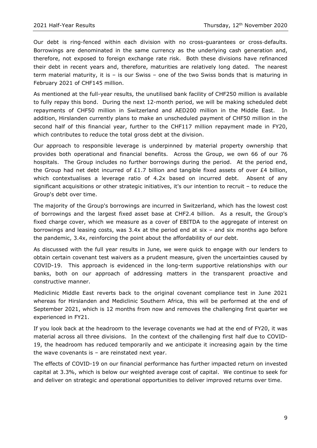Our debt is ring-fenced within each division with no cross-guarantees or cross-defaults. Borrowings are denominated in the same currency as the underlying cash generation and, therefore, not exposed to foreign exchange rate risk. Both these divisions have refinanced their debt in recent years and, therefore, maturities are relatively long dated. The nearest term material maturity, it is – is our Swiss – one of the two Swiss bonds that is maturing in February 2021 of CHF145 million.

As mentioned at the full-year results, the unutilised bank facility of CHF250 million is available to fully repay this bond. During the next 12-month period, we will be making scheduled debt repayments of CHF50 million in Switzerland and AED200 million in the Middle East. In addition, Hirslanden currently plans to make an unscheduled payment of CHF50 million in the second half of this financial year, further to the CHF117 million repayment made in FY20, which contributes to reduce the total gross debt at the division.

Our approach to responsible leverage is underpinned by material property ownership that provides both operational and financial benefits. Across the Group, we own 66 of our 76 hospitals. The Group includes no further borrowings during the period. At the period end, the Group had net debt incurred of £1.7 billion and tangible fixed assets of over £4 billion, which contextualises a leverage ratio of 4.2x based on incurred debt. Absent of any significant acquisitions or other strategic initiatives, it's our intention to recruit – to reduce the Group's debt over time.

The majority of the Group's borrowings are incurred in Switzerland, which has the lowest cost of borrowings and the largest fixed asset base at CHF2.4 billion. As a result, the Group's fixed charge cover, which we measure as a cover of EBITDA to the aggregate of interest on borrowings and leasing costs, was 3.4x at the period end at six – and six months ago before the pandemic, 3.4x, reinforcing the point about the affordability of our debt.

As discussed with the full year results in June, we were quick to engage with our lenders to obtain certain covenant test waivers as a prudent measure, given the uncertainties caused by COVID-19. This approach is evidenced in the long-term supportive relationships with our banks, both on our approach of addressing matters in the transparent proactive and constructive manner.

Mediclinic Middle East reverts back to the original covenant compliance test in June 2021 whereas for Hirslanden and Mediclinic Southern Africa, this will be performed at the end of September 2021, which is 12 months from now and removes the challenging first quarter we experienced in FY21.

If you look back at the headroom to the leverage covenants we had at the end of FY20, it was material across all three divisions. In the context of the challenging first half due to COVID-19, the headroom has reduced temporarily and we anticipate it increasing again by the time the wave covenants is  $-$  are reinstated next year.

The effects of COVID-19 on our financial performance has further impacted return on invested capital at 3.3%, which is below our weighted average cost of capital. We continue to seek for and deliver on strategic and operational opportunities to deliver improved returns over time.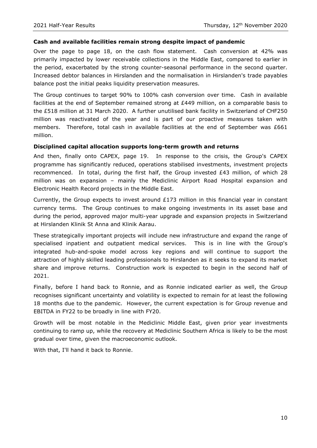#### **Cash and available facilities remain strong despite impact of pandemic**

Over the page to page 18, on the cash flow statement. Cash conversion at 42% was primarily impacted by lower receivable collections in the Middle East, compared to earlier in the period, exacerbated by the strong counter-seasonal performance in the second quarter. Increased debtor balances in Hirslanden and the normalisation in Hirslanden's trade payables balance post the initial peaks liquidity preservation measures.

The Group continues to target 90% to 100% cash conversion over time. Cash in available facilities at the end of September remained strong at £449 million, on a comparable basis to the £518 million at 31 March 2020. A further unutilised bank facility in Switzerland of CHF250 million was reactivated of the year and is part of our proactive measures taken with members. Therefore, total cash in available facilities at the end of September was £661 million.

#### **Disciplined capital allocation supports long-term growth and returns**

And then, finally onto CAPEX, page 19. In response to the crisis, the Group's CAPEX programme has significantly reduced, operations stabilised investments, investment projects recommenced. In total, during the first half, the Group invested £43 million, of which 28 million was on expansion – mainly the Mediclinic Airport Road Hospital expansion and Electronic Health Record projects in the Middle East.

Currently, the Group expects to invest around  $£173$  million in this financial year in constant currency terms. The Group continues to make ongoing investments in its asset base and during the period, approved major multi-year upgrade and expansion projects in Switzerland at Hirslanden Klinik St Anna and Klinik Aarau.

These strategically important projects will include new infrastructure and expand the range of specialised inpatient and outpatient medical services. This is in line with the Group's integrated hub-and-spoke model across key regions and will continue to support the attraction of highly skilled leading professionals to Hirslanden as it seeks to expand its market share and improve returns. Construction work is expected to begin in the second half of 2021.

Finally, before I hand back to Ronnie, and as Ronnie indicated earlier as well, the Group recognises significant uncertainty and volatility is expected to remain for at least the following 18 months due to the pandemic. However, the current expectation is for Group revenue and EBITDA in FY22 to be broadly in line with FY20.

Growth will be most notable in the Mediclinic Middle East, given prior year investments continuing to ramp up, while the recovery at Mediclinic Southern Africa is likely to be the most gradual over time, given the macroeconomic outlook.

With that, I'll hand it back to Ronnie.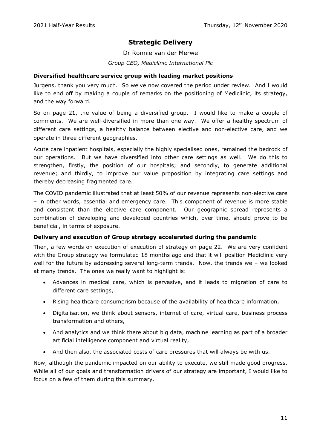# **Strategic Delivery**

Dr Ronnie van der Merwe

*Group CEO, Mediclinic International Plc*

## **Diversified healthcare service group with leading market positions**

Jurgens, thank you very much. So we've now covered the period under review. And I would like to end off by making a couple of remarks on the positioning of Mediclinic, its strategy, and the way forward.

So on page 21, the value of being a diversified group. I would like to make a couple of comments. We are well-diversified in more than one way. We offer a healthy spectrum of different care settings, a healthy balance between elective and non-elective care, and we operate in three different geographies.

Acute care inpatient hospitals, especially the highly specialised ones, remained the bedrock of our operations. But we have diversified into other care settings as well. We do this to strengthen, firstly, the position of our hospitals; and secondly, to generate additional revenue; and thirdly, to improve our value proposition by integrating care settings and thereby decreasing fragmented care.

The COVID pandemic illustrated that at least 50% of our revenue represents non-elective care – in other words, essential and emergency care. This component of revenue is more stable and consistent than the elective care component. Our geographic spread represents a combination of developing and developed countries which, over time, should prove to be beneficial, in terms of exposure.

## **Delivery and execution of Group strategy accelerated during the pandemic**

Then, a few words on execution of execution of strategy on page 22. We are very confident with the Group strategy we formulated 18 months ago and that it will position Mediclinic very well for the future by addressing several long-term trends. Now, the trends we – we looked at many trends. The ones we really want to highlight is:

- Advances in medical care, which is pervasive, and it leads to migration of care to different care settings,
- Rising healthcare consumerism because of the availability of healthcare information,
- Digitalisation, we think about sensors, internet of care, virtual care, business process transformation and others,
- And analytics and we think there about big data, machine learning as part of a broader artificial intelligence component and virtual reality,
- And then also, the associated costs of care pressures that will always be with us.

Now, although the pandemic impacted on our ability to execute, we still made good progress. While all of our goals and transformation drivers of our strategy are important, I would like to focus on a few of them during this summary.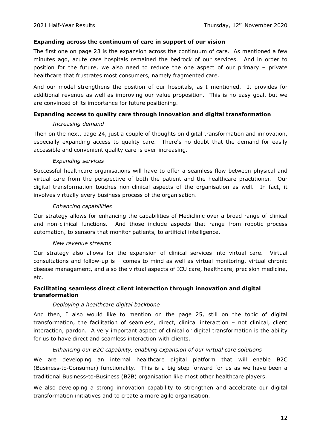#### **Expanding across the continuum of care in support of our vision**

The first one on page 23 is the expansion across the continuum of care. As mentioned a few minutes ago, acute care hospitals remained the bedrock of our services. And in order to position for the future, we also need to reduce the one aspect of our primary – private healthcare that frustrates most consumers, namely fragmented care.

And our model strengthens the position of our hospitals, as I mentioned. It provides for additional revenue as well as improving our value proposition. This is no easy goal, but we are convinced of its importance for future positioning.

## **Expanding access to quality care through innovation and digital transformation**

#### *Increasing demand*

Then on the next, page 24, just a couple of thoughts on digital transformation and innovation, especially expanding access to quality care. There's no doubt that the demand for easily accessible and convenient quality care is ever-increasing.

#### *Expanding services*

Successful healthcare organisations will have to offer a seamless flow between physical and virtual care from the perspective of both the patient and the healthcare practitioner. Our digital transformation touches non-clinical aspects of the organisation as well. In fact, it involves virtually every business process of the organisation.

#### *Enhancing capabilities*

Our strategy allows for enhancing the capabilities of Mediclinic over a broad range of clinical and non-clinical functions. And those include aspects that range from robotic process automation, to sensors that monitor patients, to artificial intelligence.

#### *New revenue streams*

Our strategy also allows for the expansion of clinical services into virtual care. Virtual consultations and follow-up is – comes to mind as well as virtual monitoring, virtual chronic disease management, and also the virtual aspects of ICU care, healthcare, precision medicine, etc.

#### **Facilitating seamless direct client interaction through innovation and digital transformation**

#### *Deploying a healthcare digital backbone*

And then, I also would like to mention on the page 25, still on the topic of digital transformation, the facilitation of seamless, direct, clinical interaction – not clinical, client interaction, pardon. A very important aspect of clinical or digital transformation is the ability for us to have direct and seamless interaction with clients.

#### *Enhancing our B2C capability, enabling expansion of our virtual care solutions*

We are developing an internal healthcare digital platform that will enable B2C (Business-to-Consumer) functionality. This is a big step forward for us as we have been a traditional Business-to-Business (B2B) organisation like most other healthcare players.

We also developing a strong innovation capability to strengthen and accelerate our digital transformation initiatives and to create a more agile organisation.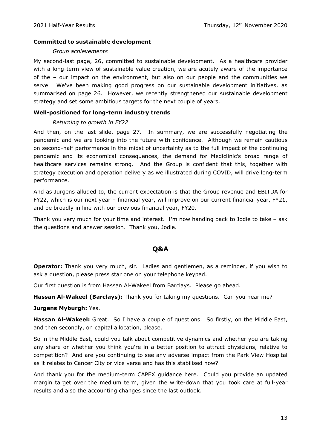#### **Committed to sustainable development**

#### *Group achievements*

My second-last page, 26, committed to sustainable development. As a healthcare provider with a long-term view of sustainable value creation, we are acutely aware of the importance of the – our impact on the environment, but also on our people and the communities we serve. We've been making good progress on our sustainable development initiatives, as summarised on page 26. However, we recently strengthened our sustainable development strategy and set some ambitious targets for the next couple of years.

#### **Well-positioned for long-term industry trends**

#### *Returning to growth in FY22*

And then, on the last slide, page 27. In summary, we are successfully negotiating the pandemic and we are looking into the future with confidence. Although we remain cautious on second-half performance in the midst of uncertainty as to the full impact of the continuing pandemic and its economical consequences, the demand for Mediclinic's broad range of healthcare services remains strong. And the Group is confident that this, together with strategy execution and operation delivery as we illustrated during COVID, will drive long-term performance.

And as Jurgens alluded to, the current expectation is that the Group revenue and EBITDA for FY22, which is our next year – financial year, will improve on our current financial year, FY21, and be broadly in line with our previous financial year, FY20.

Thank you very much for your time and interest. I'm now handing back to Jodie to take – ask the questions and answer session. Thank you, Jodie.

# **Q&A**

**Operator:** Thank you very much, sir. Ladies and gentlemen, as a reminder, if you wish to ask a question, please press star one on your telephone keypad.

Our first question is from Hassan Al-Wakeel from Barclays. Please go ahead.

**Hassan Al-Wakeel (Barclays):** Thank you for taking my questions. Can you hear me?

**Jurgens Myburgh:** Yes.

**Hassan Al-Wakeel:** Great. So I have a couple of questions. So firstly, on the Middle East, and then secondly, on capital allocation, please.

So in the Middle East, could you talk about competitive dynamics and whether you are taking any share or whether you think you're in a better position to attract physicians, relative to competition? And are you continuing to see any adverse impact from the Park View Hospital as it relates to Cancer City or vice versa and has this stabilised now?

And thank you for the medium-term CAPEX guidance here. Could you provide an updated margin target over the medium term, given the write-down that you took care at full-year results and also the accounting changes since the last outlook.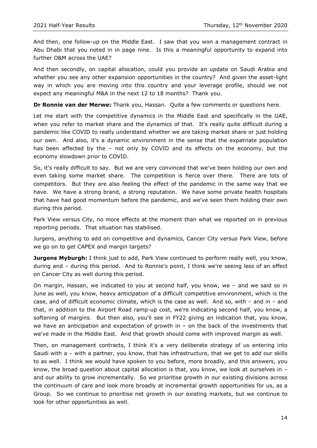And then, one follow-up on the Middle East. I saw that you won a management contract in Abu Dhabi that you noted in in page nine. Is this a meaningful opportunity to expand into further O&M across the UAE?

And then secondly, on capital allocation, could you provide an update on Saudi Arabia and whether you see any other expansion opportunities in the country? And given the asset-light way in which you are moving into this country and your leverage profile, should we not expect any meaningful M&A in the next 12 to 18 months? Thank you.

**Dr Ronnie van der Merwe:** Thank you, Hassan. Quite a few comments or questions here.

Let me start with the competitive dynamics in the Middle East and specifically in the UAE, when you refer to market share and the dynamics of that. It's really quite difficult during a pandemic like COVID to really understand whether we are taking market share or just holding our own. And also, it's a dynamic environment in the sense that the expatriate population has been affected by the – not only by COVID and its effects on the economy, but the economy slowdown prior to COVID.

So, it's really difficult to say. But we are very convinced that we've been holding our own and even taking some market share. The competition is fierce over there. There are lots of competitors. But they are also feeling the effect of the pandemic in the same way that we have. We have a strong brand, a strong reputation. We have some private health hospitals that have had good momentum before the pandemic, and we've seen them holding their own during this period.

Park View versus City, no more effects at the moment than what we reported on in previous reporting periods. That situation has stabilised.

Jurgens, anything to add on competitive and dynamics, Cancer City versus Park View, before we go on to get CAPEX and margin targets?

**Jurgens Myburgh:** I think just to add, Park View continued to perform really well, you know, during and – during this period. And to Ronnie's point, I think we're seeing less of an effect on Cancer City as well during this period.

On margin, Hassan, we indicated to you at second half, you know, we – and we said so in June as well, you know, heavy anticipation of a difficult competitive environment, which is the case, and of difficult economic climate, which is the case as well. And so, with – and in – and that, in addition to the Airport Road ramp-up cost, we're indicating second half, you know, a softening of margins. But then also, you'll see in FY22 giving an indication that, you know, we have an anticipation and expectation of growth in – on the back of the investments that we've made in the Middle East. And that growth should come with improved margin as well.

Then, on management contracts, I think it's a very deliberate strategy of us entering into Saudi with a – with a partner, you know, that has infrastructure, that we get to add our skills to as well. I think we would have spoken to you before, more broadly, and this answers, you know, the broad question about capital allocation is that, you know, we look at ourselves in and our ability to grow incrementally. So we prioritise growth in our existing divisions across the continuum of care and look more broadly at incremental growth opportunities for us, as a Group. So we continue to prioritise net growth in our existing markets, but we continue to look for other opportunities as well.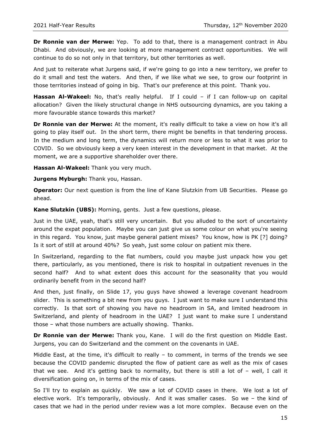**Dr Ronnie van der Merwe:** Yep. To add to that, there is a management contract in Abu Dhabi. And obviously, we are looking at more management contract opportunities. We will continue to do so not only in that territory, but other territories as well.

And just to reiterate what Jurgens said, if we're going to go into a new territory, we prefer to do it small and test the waters. And then, if we like what we see, to grow our footprint in those territories instead of going in big. That's our preference at this point. Thank you.

**Hassan Al-Wakeel:** No, that's really helpful. If I could – if I can follow-up on capital allocation? Given the likely structural change in NHS outsourcing dynamics, are you taking a more favourable stance towards this market?

**Dr Ronnie van der Merwe:** At the moment, it's really difficult to take a view on how it's all going to play itself out. In the short term, there might be benefits in that tendering process. In the medium and long term, the dynamics will return more or less to what it was prior to COVID. So we obviously keep a very keen interest in the development in that market. At the moment, we are a supportive shareholder over there.

**Hassan Al-Wakeel:** Thank you very much.

**Jurgens Myburgh:** Thank you, Hassan.

**Operator:** Our next question is from the line of Kane Slutzkin from UB Securities. Please go ahead.

**Kane Slutzkin (UBS):** Morning, gents. Just a few questions, please.

Just in the UAE, yeah, that's still very uncertain. But you alluded to the sort of uncertainty around the expat population. Maybe you can just give us some colour on what you're seeing in this regard. You know, just maybe general patient mixes? You know, how is PK [?] doing? Is it sort of still at around 40%? So yeah, just some colour on patient mix there.

In Switzerland, regarding to the flat numbers, could you maybe just unpack how you get there, particularly, as you mentioned, there is risk to hospital in outpatient revenues in the second half? And to what extent does this account for the seasonality that you would ordinarily benefit from in the second half?

And then, just finally, on Slide 17, you guys have showed a leverage covenant headroom slider. This is something a bit new from you guys. I just want to make sure I understand this correctly. Is that sort of showing you have no headroom in SA, and limited headroom in Switzerland, and plenty of headroom in the UAE? I just want to make sure I understand those – what those numbers are actually showing. Thanks.

**Dr Ronnie van der Merwe:** Thank you, Kane. I will do the first question on Middle East. Jurgens, you can do Switzerland and the comment on the covenants in UAE.

Middle East, at the time, it's difficult to really – to comment, in terms of the trends we see because the COVID pandemic disrupted the flow of patient care as well as the mix of cases that we see. And it's getting back to normality, but there is still a lot of  $-$  well, I call it diversification going on, in terms of the mix of cases.

So I'll try to explain as quickly. We saw a lot of COVID cases in there. We lost a lot of elective work. It's temporarily, obviously. And it was smaller cases. So we – the kind of cases that we had in the period under review was a lot more complex. Because even on the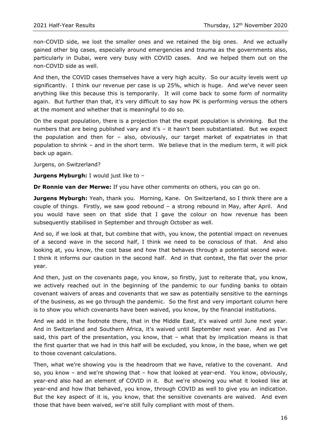non-COVID side, we lost the smaller ones and we retained the big ones. And we actually gained other big cases, especially around emergencies and trauma as the governments also, particularly in Dubai, were very busy with COVID cases. And we helped them out on the non-COVID side as well.

And then, the COVID cases themselves have a very high acuity. So our acuity levels went up significantly. I think our revenue per case is up 25%, which is huge. And we've never seen anything like this because this is temporarily. It will come back to some form of normality again. But further than that, it's very difficult to say how PK is performing versus the others at the moment and whether that is meaningful to do so.

On the expat population, there is a projection that the expat population is shrinking. But the numbers that are being published vary and it's – it hasn't been substantiated. But we expect the population and then for – also, obviously, our target market of expatriates in that population to shrink – and in the short term. We believe that in the medium term, it will pick back up again.

Jurgens, on Switzerland?

**Jurgens Myburgh:** I would just like to -

**Dr Ronnie van der Merwe:** If you have other comments on others, you can go on.

**Jurgens Myburgh:** Yeah, thank you. Morning, Kane. On Switzerland, so I think there are a couple of things. Firstly, we saw good rebound – a strong rebound in May, after April. And you would have seen on that slide that I gave the colour on how revenue has been subsequently stabilised in September and through October as well.

And so, if we look at that, but combine that with, you know, the potential impact on revenues of a second wave in the second half, I think we need to be conscious of that. And also looking at, you know, the cost base and how that behaves through a potential second wave. I think it informs our caution in the second half. And in that context, the flat over the prior year.

And then, just on the covenants page, you know, so firstly, just to reiterate that, you know, we actively reached out in the beginning of the pandemic to our funding banks to obtain covenant waivers of areas and covenants that we saw as potentially sensitive to the earnings of the business, as we go through the pandemic. So the first and very important column here is to show you which covenants have been waived, you know, by the financial institutions.

And we add in the footnote there, that in the Middle East, it's waived until June next year. And in Switzerland and Southern Africa, it's waived until September next year. And as I've said, this part of the presentation, you know, that – what that by implication means is that the first quarter that we had in this half will be excluded, you know, in the base, when we get to those covenant calculations.

Then, what we're showing you is the headroom that we have, relative to the covenant. And so, you know – and we're showing that – how that looked at year-end. You know, obviously, year-end also had an element of COVID in it. But we're showing you what it looked like at year-end and how that behaved, you know, through COVID as well to give you an indication. But the key aspect of it is, you know, that the sensitive covenants are waived. And even those that have been waived, we're still fully compliant with most of them.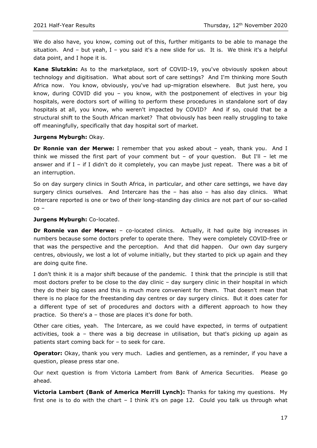We do also have, you know, coming out of this, further mitigants to be able to manage the situation. And  $-$  but yeah, I  $-$  you said it's a new slide for us. It is. We think it's a helpful data point, and I hope it is.

**Kane Slutzkin:** As to the marketplace, sort of COVID-19, you've obviously spoken about technology and digitisation. What about sort of care settings? And I'm thinking more South Africa now. You know, obviously, you've had up-migration elsewhere. But just here, you know, during COVID did you – you know, with the postponement of electives in your big hospitals, were doctors sort of willing to perform these procedures in standalone sort of day hospitals at all, you know, who weren't impacted by COVID? And if so, could that be a structural shift to the South African market? That obviously has been really struggling to take off meaningfully, specifically that day hospital sort of market.

#### **Jurgens Myburgh:** Okay.

**Dr Ronnie van der Merwe:** I remember that you asked about – yeah, thank you. And I think we missed the first part of your comment but  $-$  of your question. But I'll  $-$  let me answer and if I – if I didn't do it completely, you can maybe just repeat. There was a bit of an interruption.

So on day surgery clinics in South Africa, in particular, and other care settings, we have day surgery clinics ourselves. And Intercare has the - has also - has also day clinics. What Intercare reported is one or two of their long-standing day clinics are not part of our so-called co –

#### **Jurgens Myburgh:** Co-located.

**Dr Ronnie van der Merwe:** – co-located clinics. Actually, it had quite big increases in numbers because some doctors prefer to operate there. They were completely COVID-free or that was the perspective and the perception. And that did happen. Our own day surgery centres, obviously, we lost a lot of volume initially, but they started to pick up again and they are doing quite fine.

I don't think it is a major shift because of the pandemic. I think that the principle is still that most doctors prefer to be close to the day clinic – day surgery clinic in their hospital in which they do their big cases and this is much more convenient for them. That doesn't mean that there is no place for the freestanding day centres or day surgery clinics. But it does cater for a different type of set of procedures and doctors with a different approach to how they practice. So there's a – those are places it's done for both.

Other care cities, yeah. The Intercare, as we could have expected, in terms of outpatient activities, took a – there was a big decrease in utilisation, but that's picking up again as patients start coming back for – to seek for care.

**Operator:** Okay, thank you very much. Ladies and gentlemen, as a reminder, if you have a question, please press star one.

Our next question is from Victoria Lambert from Bank of America Securities. Please go ahead.

**Victoria Lambert (Bank of America Merrill Lynch):** Thanks for taking my questions. My first one is to do with the chart  $-$  I think it's on page 12. Could you talk us through what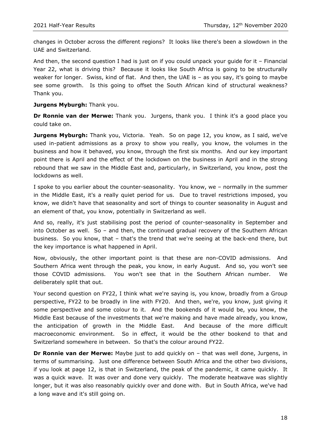changes in October across the different regions? It looks like there's been a slowdown in the UAE and Switzerland.

And then, the second question I had is just on if you could unpack your guide for it – Financial Year 22, what is driving this? Because it looks like South Africa is going to be structurally weaker for longer. Swiss, kind of flat. And then, the UAE is - as you say, it's going to maybe see some growth. Is this going to offset the South African kind of structural weakness? Thank you.

**Jurgens Myburgh:** Thank you.

**Dr Ronnie van der Merwe:** Thank you. Jurgens, thank you. I think it's a good place you could take on.

**Jurgens Myburgh:** Thank you, Victoria. Yeah. So on page 12, you know, as I said, we've used in-patient admissions as a proxy to show you really, you know, the volumes in the business and how it behaved, you know, through the first six months. And our key important point there is April and the effect of the lockdown on the business in April and in the strong rebound that we saw in the Middle East and, particularly, in Switzerland, you know, post the lockdowns as well.

I spoke to you earlier about the counter-seasonality. You know, we – normally in the summer in the Middle East, it's a really quiet period for us. Due to travel restrictions imposed, you know, we didn't have that seasonality and sort of things to counter seasonality in August and an element of that, you know, potentially in Switzerland as well.

And so, really, it's just stabilising post the period of counter-seasonality in September and into October as well. So – and then, the continued gradual recovery of the Southern African business. So you know, that – that's the trend that we're seeing at the back-end there, but the key importance is what happened in April.

Now, obviously, the other important point is that these are non-COVID admissions. And Southern Africa went through the peak, you know, in early August. And so, you won't see those COVID admissions. You won't see that in the Southern African number. We deliberately split that out.

Your second question on FY22, I think what we're saying is, you know, broadly from a Group perspective, FY22 to be broadly in line with FY20. And then, we're, you know, just giving it some perspective and some colour to it. And the bookends of it would be, you know, the Middle East because of the investments that we're making and have made already, you know, the anticipation of growth in the Middle East. And because of the more difficult macroeconomic environment. So in effect, it would be the other bookend to that and Switzerland somewhere in between. So that's the colour around FY22.

**Dr Ronnie van der Merwe:** Maybe just to add quickly on – that was well done, Jurgens, in terms of summarising. Just one difference between South Africa and the other two divisions, if you look at page 12, is that in Switzerland, the peak of the pandemic, it came quickly. It was a quick wave. It was over and done very quickly. The moderate heatwave was slightly longer, but it was also reasonably quickly over and done with. But in South Africa, we've had a long wave and it's still going on.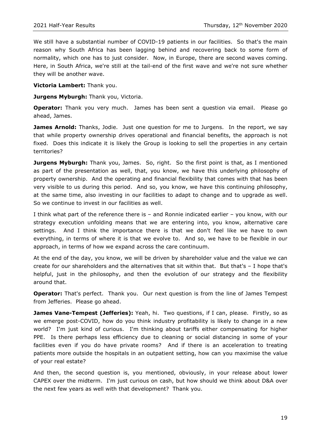We still have a substantial number of COVID-19 patients in our facilities. So that's the main reason why South Africa has been lagging behind and recovering back to some form of normality, which one has to just consider. Now, in Europe, there are second waves coming. Here, in South Africa, we're still at the tail-end of the first wave and we're not sure whether they will be another wave.

**Victoria Lambert:** Thank you.

**Jurgens Myburgh: Thank you, Victoria.** 

**Operator:** Thank you very much. James has been sent a question via email. Please go ahead, James.

**James Arnold:** Thanks, Jodie. Just one question for me to Jurgens. In the report, we say that while property ownership drives operational and financial benefits, the approach is not fixed. Does this indicate it is likely the Group is looking to sell the properties in any certain territories?

**Jurgens Myburgh:** Thank you, James. So, right. So the first point is that, as I mentioned as part of the presentation as well, that, you know, we have this underlying philosophy of property ownership. And the operating and financial flexibility that comes with that has been very visible to us during this period. And so, you know, we have this continuing philosophy, at the same time, also investing in our facilities to adapt to change and to upgrade as well. So we continue to invest in our facilities as well.

I think what part of the reference there is – and Ronnie indicated earlier – you know, with our strategy execution unfolding means that we are entering into, you know, alternative care settings. And I think the importance there is that we don't feel like we have to own everything, in terms of where it is that we evolve to. And so, we have to be flexible in our approach, in terms of how we expand across the care continuum.

At the end of the day, you know, we will be driven by shareholder value and the value we can create for our shareholders and the alternatives that sit within that. But that's – I hope that's helpful, just in the philosophy, and then the evolution of our strategy and the flexibility around that.

**Operator:** That's perfect. Thank you. Our next question is from the line of James Tempest from Jefferies. Please go ahead.

**James Vane-Tempest (Jefferies):** Yeah, hi. Two questions, if I can, please. Firstly, so as we emerge post-COVID, how do you think industry profitability is likely to change in a new world? I'm just kind of curious. I'm thinking about tariffs either compensating for higher PPE. Is there perhaps less efficiency due to cleaning or social distancing in some of your facilities even if you do have private rooms? And if there is an acceleration to treating patients more outside the hospitals in an outpatient setting, how can you maximise the value of your real estate?

And then, the second question is, you mentioned, obviously, in your release about lower CAPEX over the midterm. I'm just curious on cash, but how should we think about D&A over the next few years as well with that development? Thank you.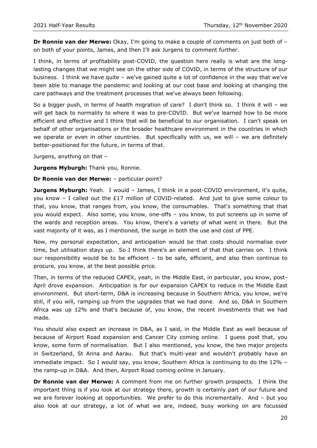**Dr Ronnie van der Merwe:** Okay, I'm going to make a couple of comments on just both of – on both of your points, James, and then I'll ask Jurgens to comment further.

I think, in terms of profitability post-COVID, the question here really is what are the longlasting changes that we might see on the other side of COVID, in terms of the structure of our business. I think we have quite – we've gained quite a lot of confidence in the way that we've been able to manage the pandemic and looking at our cost base and looking at changing the care pathways and the treatment processes that we've always been following.

So a bigger push, in terms of health migration of care? I don't think so. I think it will – we will get back to normality to where it was to pre-COVID. But we've learned how to be more efficient and effective and I think that will be beneficial to our organisation. I can't speak on behalf of other organisations or the broader healthcare environment in the countries in which we operate or even in other countries. But specifically with us, we will – we are definitely better-positioned for the future, in terms of that.

Jurgens, anything on that –

**Jurgens Myburgh: Thank you, Ronnie.** 

**Dr Ronnie van der Merwe:** – particular point?

**Jurgens Myburgh:** Yeah. I would - James, I think in a post-COVID environment, it's quite, you know – I called out the £17 million of COVID-related. And just to give some colour to that, you know, that ranges from, you know, the consumables. That's something that that you would expect. Also some, you know, one-offs – you know, to put screens up in some of the wards and reception areas. You know, there's a variety of what went in there. But the vast majority of it was, as I mentioned, the surge in both the use and cost of PPE.

Now, my personal expectation, and anticipation would be that costs should normalise over time, but utilisation stays up. So I think there's an element of that that carries on. I think our responsibility would be to be efficient – to be safe, efficient, and also then continue to procure, you know, at the best possible price.

Then, in terms of the reduced CAPEX, yeah, in the Middle East, in particular, you know, post-April drove expansion. Anticipation is for our expansion CAPEX to reduce in the Middle East environment. But short-term, D&A is increasing because in Southern Africa, you know, we're still, if you will, ramping up from the upgrades that we had done. And so, D&A in Southern Africa was up 12% and that's because of, you know, the recent investments that we had made.

You should also expect an increase in D&A, as I said, in the Middle East as well because of because of Airport Road expansion and Cancer City coming online. I guess post that, you know, some form of normalisation. But I also mentioned, you know, the two major projects in Switzerland, St Anna and Aarau. But that's multi-year and wouldn't probably have an immediate impact. So I would say, you know, Southern Africa is continuing to do the 12% – the ramp-up in D&A. And then, Airport Road coming online in January.

**Dr Ronnie van der Merwe:** A comment from me on further growth prospects. I think the important thing is if you look at our strategy there, growth is certainly part of our future and we are forever looking at opportunities. We prefer to do this incrementally. And – but you also look at our strategy, a lot of what we are, indeed, busy working on are focussed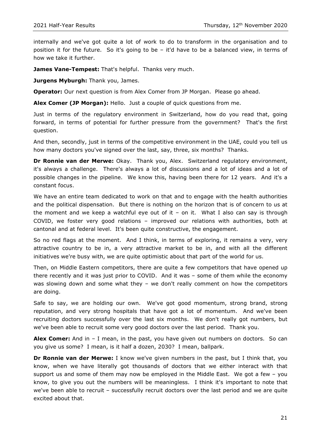internally and we've got quite a lot of work to do to transform in the organisation and to position it for the future. So it's going to be – it'd have to be a balanced view, in terms of how we take it further.

James Vane-Tempest: That's helpful. Thanks very much.

**Jurgens Myburgh:** Thank you, James.

**Operator:** Our next question is from Alex Comer from JP Morgan. Please go ahead.

**Alex Comer (JP Morgan):** Hello. Just a couple of quick questions from me.

Just in terms of the regulatory environment in Switzerland, how do you read that, going forward, in terms of potential for further pressure from the government? That's the first question.

And then, secondly, just in terms of the competitive environment in the UAE, could you tell us how many doctors you've signed over the last, say, three, six months? Thanks.

**Dr Ronnie van der Merwe:** Okay. Thank you, Alex. Switzerland regulatory environment, it's always a challenge. There's always a lot of discussions and a lot of ideas and a lot of possible changes in the pipeline. We know this, having been there for 12 years. And it's a constant focus.

We have an entire team dedicated to work on that and to engage with the health authorities and the political dispensation. But there is nothing on the horizon that is of concern to us at the moment and we keep a watchful eye out of it – on it. What I also can say is through COVID, we foster very good relations – improved our relations with authorities, both at cantonal and at federal level. It's been quite constructive, the engagement.

So no red flags at the moment. And I think, in terms of exploring, it remains a very, very attractive country to be in, a very attractive market to be in, and with all the different initiatives we're busy with, we are quite optimistic about that part of the world for us.

Then, on Middle Eastern competitors, there are quite a few competitors that have opened up there recently and it was just prior to COVID. And it was – some of them while the economy was slowing down and some what they – we don't really comment on how the competitors are doing.

Safe to say, we are holding our own. We've got good momentum, strong brand, strong reputation, and very strong hospitals that have got a lot of momentum. And we've been recruiting doctors successfully over the last six months. We don't really got numbers, but we've been able to recruit some very good doctors over the last period. Thank you.

**Alex Comer:** And in – I mean, in the past, you have given out numbers on doctors. So can you give us some? I mean, is it half a dozen, 2030? I mean, ballpark.

**Dr Ronnie van der Merwe:** I know we've given numbers in the past, but I think that, you know, when we have literally got thousands of doctors that we either interact with that support us and some of them may now be employed in the Middle East. We got a few – you know, to give you out the numbers will be meaningless. I think it's important to note that we've been able to recruit – successfully recruit doctors over the last period and we are quite excited about that.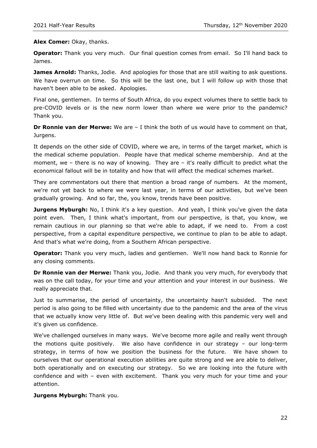#### **Alex Comer:** Okay, thanks.

**Operator:** Thank you very much. Our final question comes from email. So I'll hand back to James.

**James Arnold:** Thanks, Jodie. And apologies for those that are still waiting to ask questions. We have overrun on time. So this will be the last one, but I will follow up with those that haven't been able to be asked. Apologies.

Final one, gentlemen. In terms of South Africa, do you expect volumes there to settle back to pre-COVID levels or is the new norm lower than where we were prior to the pandemic? Thank you.

**Dr Ronnie van der Merwe:** We are – I think the both of us would have to comment on that, Jurgens.

It depends on the other side of COVID, where we are, in terms of the target market, which is the medical scheme population. People have that medical scheme membership. And at the moment, we – there is no way of knowing. They are – it's really difficult to predict what the economical fallout will be in totality and how that will affect the medical schemes market.

They are commentators out there that mention a broad range of numbers. At the moment, we're not yet back to where we were last year, in terms of our activities, but we've been gradually growing. And so far, the, you know, trends have been positive.

**Jurgens Myburgh:** No, I think it's a key question. And yeah, I think you've given the data point even. Then, I think what's important, from our perspective, is that, you know, we remain cautious in our planning so that we're able to adapt, if we need to. From a cost perspective, from a capital expenditure perspective, we continue to plan to be able to adapt. And that's what we're doing, from a Southern African perspective.

**Operator:** Thank you very much, ladies and gentlemen. We'll now hand back to Ronnie for any closing comments.

**Dr Ronnie van der Merwe:** Thank you, Jodie. And thank you very much, for everybody that was on the call today, for your time and your attention and your interest in our business. We really appreciate that.

Just to summarise, the period of uncertainty, the uncertainty hasn't subsided. The next period is also going to be filled with uncertainty due to the pandemic and the area of the virus that we actually know very little of. But we've been dealing with this pandemic very well and it's given us confidence.

We've challenged ourselves in many ways. We've become more agile and really went through the motions quite positively. We also have confidence in our strategy – our long-term strategy, in terms of how we position the business for the future. We have shown to ourselves that our operational execution abilities are quite strong and we are able to deliver, both operationally and on executing our strategy. So we are looking into the future with confidence and with – even with excitement. Thank you very much for your time and your attention.

#### **Jurgens Myburgh:** Thank you.